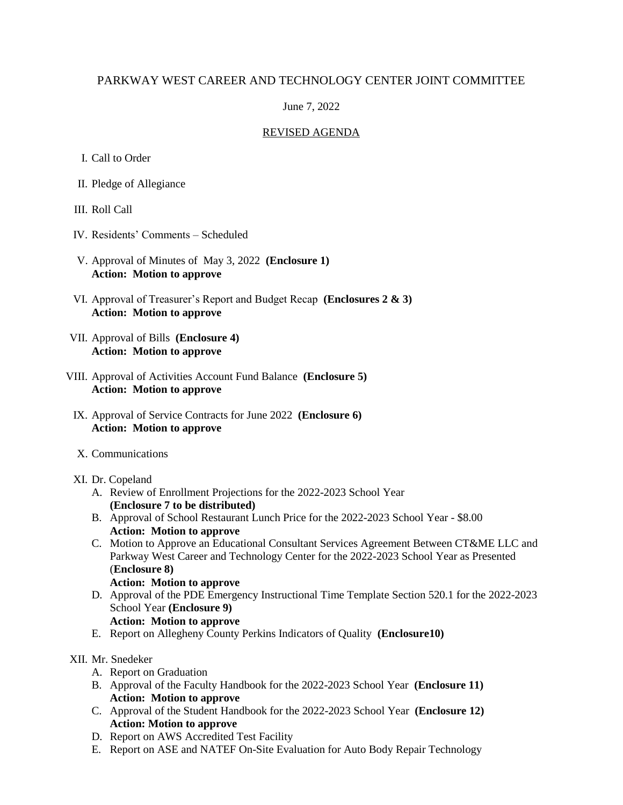# PARKWAY WEST CAREER AND TECHNOLOGY CENTER JOINT COMMITTEE

## June 7, 2022

## REVISED AGENDA

- I. Call to Order
- II. Pledge of Allegiance
- III. Roll Call
- IV. Residents' Comments Scheduled
- V. Approval of Minutes of May 3, 2022 **(Enclosure 1) Action: Motion to approve**
- VI. Approval of Treasurer's Report and Budget Recap **(Enclosures 2 & 3) Action: Motion to approve**
- VII. Approval of Bills **(Enclosure 4) Action: Motion to approve**
- VIII. Approval of Activities Account Fund Balance **(Enclosure 5) Action: Motion to approve**
	- IX. Approval of Service Contracts for June 2022 **(Enclosure 6) Action: Motion to approve**
	- X. Communications
	- XI. Dr. Copeland
		- A. Review of Enrollment Projections for the 2022-2023 School Year **(Enclosure 7 to be distributed)**
		- B. Approval of School Restaurant Lunch Price for the 2022-2023 School Year \$8.00 **Action: Motion to approve**
		- C. Motion to Approve an Educational Consultant Services Agreement Between CT&ME LLC and Parkway West Career and Technology Center for the 2022-2023 School Year as Presented (**Enclosure 8)**

### **Action: Motion to approve**

D. Approval of the PDE Emergency Instructional Time Template Section 520.1 for the 2022-2023 School Year **(Enclosure 9)**

### **Action: Motion to approve**

E. Report on Allegheny County Perkins Indicators of Quality **(Enclosure10)**

### XII. Mr. Snedeker

- A. Report on Graduation
- B. Approval of the Faculty Handbook for the 2022-2023 School Year **(Enclosure 11) Action: Motion to approve**
- C. Approval of the Student Handbook for the 2022-2023 School Year **(Enclosure 12) Action: Motion to approve**
- D. Report on AWS Accredited Test Facility
- E. Report on ASE and NATEF On-Site Evaluation for Auto Body Repair Technology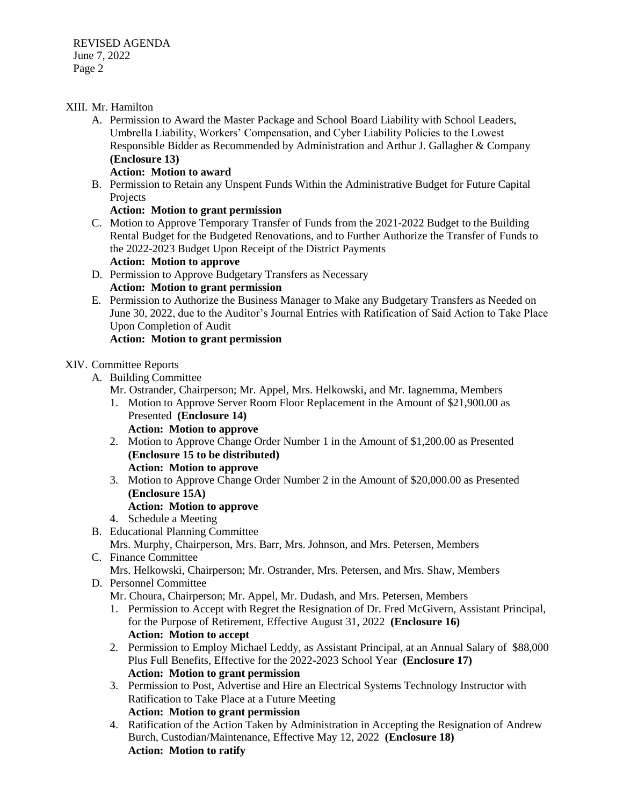### XIII. Mr. Hamilton

A. Permission to Award the Master Package and School Board Liability with School Leaders, Umbrella Liability, Workers' Compensation, and Cyber Liability Policies to the Lowest Responsible Bidder as Recommended by Administration and Arthur J. Gallagher & Company **(Enclosure 13)**

### **Action: Motion to award**

B. Permission to Retain any Unspent Funds Within the Administrative Budget for Future Capital Projects

## **Action: Motion to grant permission**

C. Motion to Approve Temporary Transfer of Funds from the 2021-2022 Budget to the Building Rental Budget for the Budgeted Renovations, and to Further Authorize the Transfer of Funds to the 2022-2023 Budget Upon Receipt of the District Payments

### **Action: Motion to approve**

- D. Permission to Approve Budgetary Transfers as Necessary **Action: Motion to grant permission**
- E. Permission to Authorize the Business Manager to Make any Budgetary Transfers as Needed on June 30, 2022, due to the Auditor's Journal Entries with Ratification of Said Action to Take Place Upon Completion of Audit

## **Action: Motion to grant permission**

## XIV. Committee Reports

- A. Building Committee
	- Mr. Ostrander, Chairperson; Mr. Appel, Mrs. Helkowski, and Mr. Iagnemma, Members
	- 1. Motion to Approve Server Room Floor Replacement in the Amount of \$21,900.00 as Presented **(Enclosure 14)**

### **Action: Motion to approve**

- 2. Motion to Approve Change Order Number 1 in the Amount of \$1,200.00 as Presented **(Enclosure 15 to be distributed) Action: Motion to approve**
- 3. Motion to Approve Change Order Number 2 in the Amount of \$20,000.00 as Presented **(Enclosure 15A)**

# **Action: Motion to approve**

- 4. Schedule a Meeting
- B. Educational Planning Committee Mrs. Murphy, Chairperson, Mrs. Barr, Mrs. Johnson, and Mrs. Petersen, Members
- C. Finance Committee
	- Mrs. Helkowski, Chairperson; Mr. Ostrander, Mrs. Petersen, and Mrs. Shaw, Members

# D. Personnel Committee

Mr. Choura, Chairperson; Mr. Appel, Mr. Dudash, and Mrs. Petersen, Members

- 1. Permission to Accept with Regret the Resignation of Dr. Fred McGivern, Assistant Principal, for the Purpose of Retirement, Effective August 31, 2022 **(Enclosure 16) Action: Motion to accept**
- 2. Permission to Employ Michael Leddy, as Assistant Principal, at an Annual Salary of \$88,000 Plus Full Benefits, Effective for the 2022-2023 School Year **(Enclosure 17) Action: Motion to grant permission**
- 3. Permission to Post, Advertise and Hire an Electrical Systems Technology Instructor with Ratification to Take Place at a Future Meeting **Action: Motion to grant permission**
- 4. Ratification of the Action Taken by Administration in Accepting the Resignation of Andrew Burch, Custodian/Maintenance, Effective May 12, 2022 **(Enclosure 18) Action: Motion to ratify**